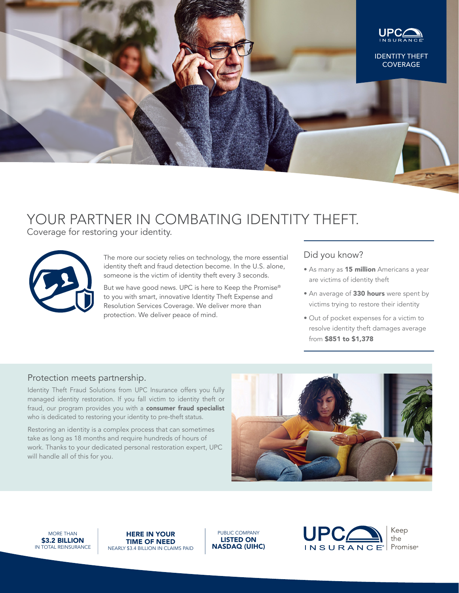

# YOUR PARTNER IN COMBATING IDENTITY THEFT.

Coverage for restoring your identity.



The more our society relies on technology, the more essential identity theft and fraud detection become. In the U.S. alone, someone is the victim of identity theft every 3 seconds.

But we have good news. UPC is here to Keep the Promise® to you with smart, innovative Identity Theft Expense and Resolution Services Coverage. We deliver more than protection. We deliver peace of mind.

# Did you know?

- As many as 15 million Americans a year are victims of identity theft
- An average of 330 hours were spent by victims trying to restore their identity
- Out of pocket expenses for a victim to resolve identity theft damages average from \$851 to \$1,378

## Protection meets partnership.

Identity Theft Fraud Solutions from UPC Insurance offers you fully managed identity restoration. If you fall victim to identity theft or fraud, our program provides you with a consumer fraud specialist who is dedicated to restoring your identity to pre-theft status.

Restoring an identity is a complex process that can sometimes take as long as 18 months and require hundreds of hours of work. Thanks to your dedicated personal restoration expert, UPC will handle all of this for you.



MORE THAN \$3.2 BILLION IN TOTAL REINSURANCE

HERE IN YOUR TIME OF NEED NEARLY \$3.4 BILLION IN CLAIMS PAID

PUBLIC COMPANY LISTED ON NASDAQ (UIHC)